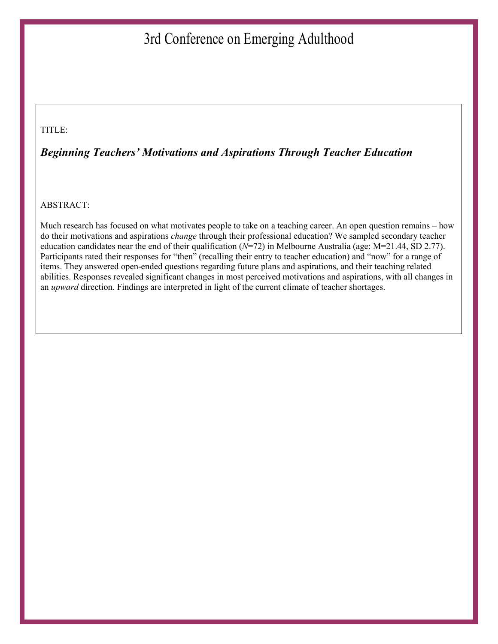# 3rd Conference on Emerging Adulthood

#### TITLE:

#### Beginning Teachers' Motivations and Aspirations Through Teacher Education

#### ABSTRACT:

Much research has focused on what motivates people to take on a teaching career. An open question remains – how do their motivations and aspirations change through their professional education? We sampled secondary teacher education candidates near the end of their qualification ( $N=72$ ) in Melbourne Australia (age:  $M=21.44$ , SD 2.77). Participants rated their responses for "then" (recalling their entry to teacher education) and "now" for a range of items. They answered open-ended questions regarding future plans and aspirations, and their teaching related abilities. Responses revealed significant changes in most perceived motivations and aspirations, with all changes in an upward direction. Findings are interpreted in light of the current climate of teacher shortages.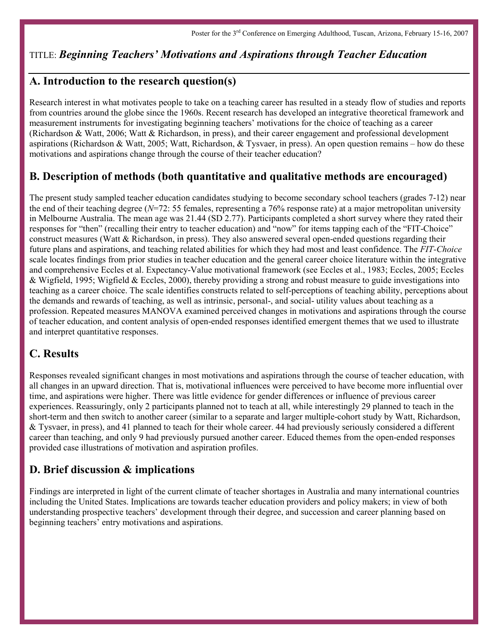## TITLE: Beginning Teachers' Motivations and Aspirations through Teacher Education

#### A. Introduction to the research question(s)

Research interest in what motivates people to take on a teaching career has resulted in a steady flow of studies and reports from countries around the globe since the 1960s. Recent research has developed an integrative theoretical framework and measurement instruments for investigating beginning teachers' motivations for the choice of teaching as a career (Richardson & Watt, 2006; Watt & Richardson, in press), and their career engagement and professional development aspirations (Richardson & Watt, 2005; Watt, Richardson, & Tysvaer, in press). An open question remains – how do these motivations and aspirations change through the course of their teacher education?

## B. Description of methods (both quantitative and qualitative methods are encouraged)

The present study sampled teacher education candidates studying to become secondary school teachers (grades 7-12) near the end of their teaching degree ( $N=72$ : 55 females, representing a 76% response rate) at a major metropolitan university in Melbourne Australia. The mean age was 21.44 (SD 2.77). Participants completed a short survey where they rated their responses for "then" (recalling their entry to teacher education) and "now" for items tapping each of the "FIT-Choice" construct measures (Watt & Richardson, in press). They also answered several open-ended questions regarding their future plans and aspirations, and teaching related abilities for which they had most and least confidence. The FIT-Choice scale locates findings from prior studies in teacher education and the general career choice literature within the integrative and comprehensive Eccles et al. Expectancy-Value motivational framework (see Eccles et al., 1983; Eccles, 2005; Eccles & Wigfield, 1995; Wigfield & Eccles, 2000), thereby providing a strong and robust measure to guide investigations into teaching as a career choice. The scale identifies constructs related to self-perceptions of teaching ability, perceptions about the demands and rewards of teaching, as well as intrinsic, personal-, and social- utility values about teaching as a profession. Repeated measures MANOVA examined perceived changes in motivations and aspirations through the course of teacher education, and content analysis of open-ended responses identified emergent themes that we used to illustrate and interpret quantitative responses.

### C. Results

Responses revealed significant changes in most motivations and aspirations through the course of teacher education, with all changes in an upward direction. That is, motivational influences were perceived to have become more influential over time, and aspirations were higher. There was little evidence for gender differences or influence of previous career experiences. Reassuringly, only 2 participants planned not to teach at all, while interestingly 29 planned to teach in the short-term and then switch to another career (similar to a separate and larger multiple-cohort study by Watt, Richardson, & Tysvaer, in press), and 41 planned to teach for their whole career. 44 had previously seriously considered a different career than teaching, and only 9 had previously pursued another career. Educed themes from the open-ended responses provided case illustrations of motivation and aspiration profiles.

### D. Brief discussion & implications

Findings are interpreted in light of the current climate of teacher shortages in Australia and many international countries including the United States. Implications are towards teacher education providers and policy makers; in view of both understanding prospective teachers' development through their degree, and succession and career planning based on beginning teachers' entry motivations and aspirations.